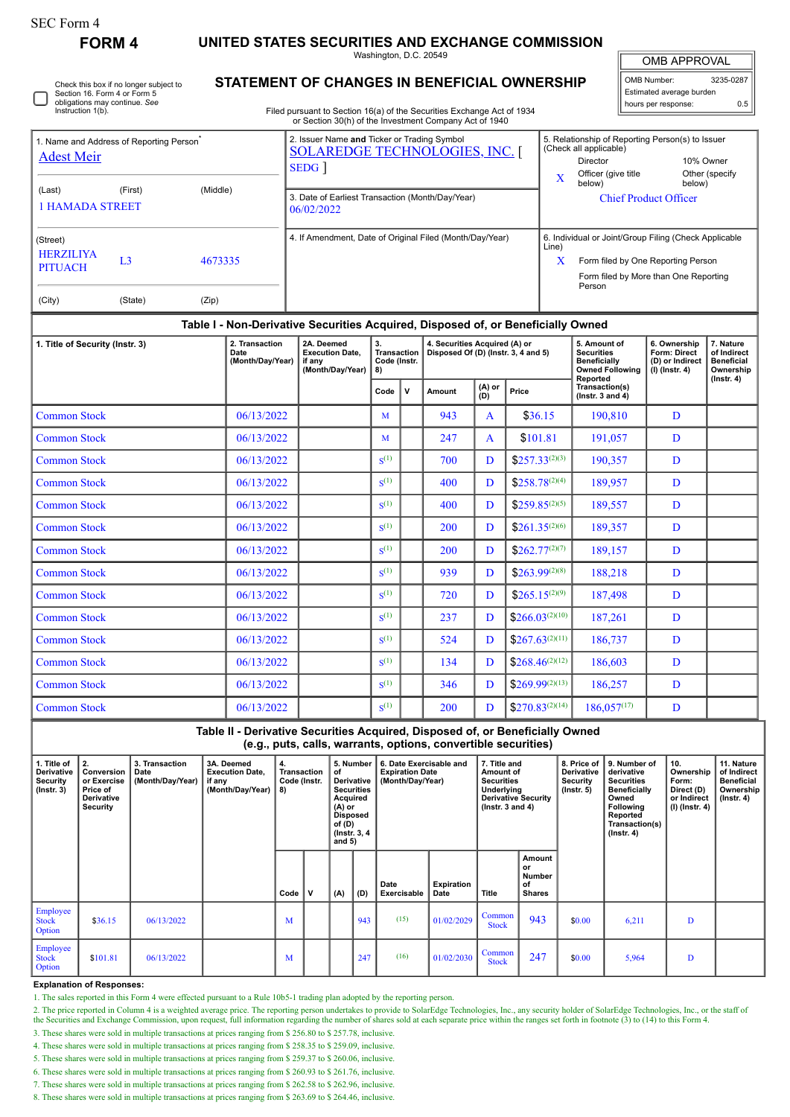П

## **FORM 4 UNITED STATES SECURITIES AND EXCHANGE COMMISSION**

Washington, D.C. 20549

| <b>OMB APPROVAL</b>      |           |  |  |  |  |  |  |  |  |  |  |
|--------------------------|-----------|--|--|--|--|--|--|--|--|--|--|
| OMB Number:              | 3235-0287 |  |  |  |  |  |  |  |  |  |  |
| Estimated average burden |           |  |  |  |  |  |  |  |  |  |  |
| hours per response:      | 0.5       |  |  |  |  |  |  |  |  |  |  |

| Check this box if no longer subject to |
|----------------------------------------|
| Section 16. Form 4 or Form 5           |
| obligations may continue. See          |
| Instruction 1(b).                      |

## **STATEMENT OF CHANGES IN BENEFICIAL OWNERSHIP**

Filed pursuant to Section 16(a) of the Securities Exchange Act of 1934 or Section 30(h) of the Investment Company Act of 1940

| 1. Name and Address of Reporting Person <sup>®</sup><br><b>Adest Meir</b> |         | 2. Issuer Name and Ticker or Trading Symbol<br><b>SOLAREDGE TECHNOLOGIES, INC. [</b><br>SEDG |                                    |                                                                                  |                                                                                                                        |               | 5. Relationship of Reporting Person(s) to Issuer<br>(Check all applicable)<br>10% Owner<br>Director |                                        |                                                                                                |                                                                          |                                                                                |  |  |
|---------------------------------------------------------------------------|---------|----------------------------------------------------------------------------------------------|------------------------------------|----------------------------------------------------------------------------------|------------------------------------------------------------------------------------------------------------------------|---------------|-----------------------------------------------------------------------------------------------------|----------------------------------------|------------------------------------------------------------------------------------------------|--------------------------------------------------------------------------|--------------------------------------------------------------------------------|--|--|
|                                                                           |         |                                                                                              |                                    |                                                                                  |                                                                                                                        | $\mathbf{x}$  | Officer (give title<br>below)                                                                       | below)                                 | Other (specify)                                                                                |                                                                          |                                                                                |  |  |
| (First)<br>(Middle)<br>(Last)<br><b>1 HAMADA STREET</b>                   |         |                                                                                              |                                    | 3. Date of Earliest Transaction (Month/Day/Year)<br>06/02/2022                   |                                                                                                                        |               |                                                                                                     |                                        | <b>Chief Product Officer</b>                                                                   |                                                                          |                                                                                |  |  |
| (Street)                                                                  |         |                                                                                              |                                    | 4. If Amendment, Date of Original Filed (Month/Day/Year)                         |                                                                                                                        |               |                                                                                                     |                                        |                                                                                                | 6. Individual or Joint/Group Filing (Check Applicable<br>Line)           |                                                                                |  |  |
| <b>HERZILIYA</b><br><b>PITUACH</b>                                        | 4673335 |                                                                                              |                                    |                                                                                  |                                                                                                                        | x             | Form filed by One Reporting Person<br>Form filed by More than One Reporting                         |                                        |                                                                                                |                                                                          |                                                                                |  |  |
| (City)                                                                    | (State) | (Zip)                                                                                        |                                    |                                                                                  |                                                                                                                        |               |                                                                                                     |                                        |                                                                                                | Person                                                                   |                                                                                |  |  |
|                                                                           |         |                                                                                              |                                    | Table I - Non-Derivative Securities Acquired, Disposed of, or Beneficially Owned |                                                                                                                        |               |                                                                                                     |                                        |                                                                                                |                                                                          |                                                                                |  |  |
| 1. Title of Security (Instr. 3)<br>Date                                   |         |                                                                                              | 2. Transaction<br>(Month/Day/Year) | 2A. Deemed<br><b>Execution Date.</b><br>if any<br>(Month/Day/Year)               | 3.<br>4. Securities Acquired (A) or<br>Disposed Of (D) (Instr. 3, 4 and 5)<br><b>Transaction</b><br>Code (Instr.<br>8) |               |                                                                                                     |                                        | 5. Amount of<br><b>Securities</b><br><b>Beneficially</b><br><b>Owned Following</b><br>Reported | 6. Ownership<br><b>Form: Direct</b><br>(D) or Indirect<br>(I) (Instr. 4) | 7. Nature<br>of Indirect<br><b>Beneficial</b><br>Ownership<br>$($ Instr. 4 $)$ |  |  |
|                                                                           |         |                                                                                              | N<br>Code                          |                                                                                  | Amount                                                                                                                 | (A) or<br>(D) | Price                                                                                               | Transaction(s)<br>( $lnstr. 3 and 4$ ) |                                                                                                |                                                                          |                                                                                |  |  |
| <b>Common Stock</b><br>06/13/2022                                         |         |                                                                                              |                                    |                                                                                  | М                                                                                                                      |               | 943                                                                                                 | A                                      | \$36.15                                                                                        | 190,810                                                                  | D                                                                              |  |  |
| <b>Common Stock</b><br>06/13/2022                                         |         |                                                                                              |                                    |                                                                                  | М                                                                                                                      |               | 247                                                                                                 | $\mathsf{A}$                           | \$101.81                                                                                       | 191,057                                                                  | D                                                                              |  |  |
| 06/13/2022<br><b>Common Stock</b>                                         |         |                                                                                              |                                    |                                                                                  | $S^{(1)}$                                                                                                              |               | 700                                                                                                 | D                                      | $$257.33^{(2)(3)}$                                                                             | 190,357                                                                  | D                                                                              |  |  |

| 1. Title of Security (Instr. 3) | rapic i - non-bonvativo occantico Acquiroa, Disposca oi, or Boncholany Ownou<br>2A. Deemed<br><b>Execution Date,</b> | 3.<br><b>Transaction</b>   |                    | 4. Securities Acquired (A) or |                                     |                   | 5. Amount of<br><b>Securities</b> | 6. Ownership<br>Form: Direct                        | 7. Nature<br>of Indirect            |                                |
|---------------------------------|----------------------------------------------------------------------------------------------------------------------|----------------------------|--------------------|-------------------------------|-------------------------------------|-------------------|-----------------------------------|-----------------------------------------------------|-------------------------------------|--------------------------------|
|                                 | Date<br>(Month/Day/Year)                                                                                             | if any<br>(Month/Day/Year) | Code (Instr.<br>8) |                               | Disposed Of (D) (Instr. 3, 4 and 5) |                   |                                   | <b>Beneficially</b><br><b>Owned Following</b>       | (D) or Indirect<br>$(I)$ (Instr. 4) | <b>Beneficial</b><br>Ownership |
|                                 |                                                                                                                      |                            | Code               | ۱v                            | Amount                              | $(A)$ or<br>$(D)$ | Price                             | Reported<br>Transaction(s)<br>(Instr. $3$ and $4$ ) |                                     | $($ Instr. 4 $)$               |
| <b>Common Stock</b>             | 06/13/2022                                                                                                           |                            | M                  |                               | 943                                 | $\mathbf{A}$      | \$36.15                           | 190,810                                             | D                                   |                                |
| <b>Common Stock</b>             | 06/13/2022                                                                                                           |                            | M                  |                               | 247                                 | $\mathbf{A}$      | \$101.81                          | 191,057                                             | D                                   |                                |
| <b>Common Stock</b>             | 06/13/2022                                                                                                           |                            | $S^{(1)}$          |                               | 700                                 | D                 | $$257.33^{(2)(3)}$                | 190,357                                             | D                                   |                                |
| <b>Common Stock</b>             | 06/13/2022                                                                                                           |                            | $\mathbf{S}^{(1)}$ |                               | 400                                 | D                 | $$258.78^{(2)(4)}$                | 189,957                                             | D                                   |                                |
| <b>Common Stock</b>             | 06/13/2022                                                                                                           |                            | $\mathbf{S}^{(1)}$ |                               | 400                                 | D                 | $$259.85^{(2)(5)}$                | 189,557                                             | D                                   |                                |
| <b>Common Stock</b>             | 06/13/2022                                                                                                           |                            | $\mathbf{S}^{(1)}$ |                               | 200                                 | D                 | $$261.35^{(2)(6)}$                | 189,357                                             | D                                   |                                |
| <b>Common Stock</b>             | 06/13/2022                                                                                                           |                            | S <sup>(1)</sup>   |                               | 200                                 | D                 | $$262.77^{(2)(7)}$                | 189,157                                             | D                                   |                                |
| <b>Common Stock</b>             | 06/13/2022                                                                                                           |                            | $\mathbf{S}^{(1)}$ |                               | 939                                 | D                 | $$263.99^{(2)(8)}$                | 188,218                                             | D                                   |                                |
| <b>Common Stock</b>             | 06/13/2022                                                                                                           |                            | $\mathbf{S}^{(1)}$ |                               | 720                                 | D                 | $$265.15^{(2)(9)}$                | 187,498                                             | D                                   |                                |
| <b>Common Stock</b>             | 06/13/2022                                                                                                           |                            | $\mathbf{S}^{(1)}$ |                               | 237                                 | D                 | $$266.03^{(2)(10)}$               | 187,261                                             | D                                   |                                |
| <b>Common Stock</b>             | 06/13/2022                                                                                                           |                            | $\mathbf{S}^{(1)}$ |                               | 524                                 | D                 | $$267.63^{(2)(11)}$               | 186,737                                             | D                                   |                                |
| <b>Common Stock</b>             | 06/13/2022                                                                                                           |                            | $\mathbf{S}^{(1)}$ |                               | 134                                 | D                 | $$268.46^{(2)(12)}$               | 186,603                                             | D                                   |                                |
| <b>Common Stock</b>             | 06/13/2022                                                                                                           |                            | $\mathbf{S}^{(1)}$ |                               | 346                                 | D                 | $$269.99^{(2)(13)}$               | 186,257                                             | D                                   |                                |
| <b>Common Stock</b>             | 06/13/2022                                                                                                           |                            | $S^{(1)}$          |                               | <b>200</b>                          | D                 | $$270.83^{(2)(14)}$               | $186,057^{(17)}$                                    | D                                   |                                |

**Table II - Derivative Securities Acquired, Disposed of, or Beneficially Owned (e.g., puts, calls, warrants, options, convertible securities)**

| 1. Title of<br><b>Derivative</b><br>Security<br>$($ lnstr. 3 $)$ | 2.<br>Conversion<br>or Exercise<br>Price of<br>Derivative<br>Security | 3. Transaction<br>Date<br>(Month/Day/Year) | 3A. Deemed<br><b>Execution Date.</b><br>if any<br>(Month/Day/Year)   8) | 4.   | 5. Number<br><b>Transaction</b><br>of<br>Derivative<br>Code (Instr.<br><b>Securities</b><br>Acquired<br>$(A)$ or<br>Disposed<br>of (D)<br>(Instr. 3, 4<br>and $5)$ |     | 6. Date Exercisable and<br><b>Expiration Date</b><br>(Month/Day/Year) |                     | 7. Title and<br>Amount of<br><b>Securities</b><br>Underlying<br><b>Derivative Security</b><br>( $lnstr. 3 and 4$ ) |                        | 8. Price of<br><b>Derivative</b><br><b>Security</b><br>$($ lnstr. 5 $)$ | 9. Number of<br>derivative<br><b>Securities</b><br>Beneficially<br>Owned<br>Following<br>Reported<br>Transaction(s)<br>$($ lnstr. 4 $)$ | 10.<br>Ownership<br>Form:<br>Direct (D)<br>or Indirect<br>(I) (Instr. 4) | 11. Nature<br>of Indirect<br><b>Beneficial</b><br>Ownership<br>(Instr. 4) |  |
|------------------------------------------------------------------|-----------------------------------------------------------------------|--------------------------------------------|-------------------------------------------------------------------------|------|--------------------------------------------------------------------------------------------------------------------------------------------------------------------|-----|-----------------------------------------------------------------------|---------------------|--------------------------------------------------------------------------------------------------------------------|------------------------|-------------------------------------------------------------------------|-----------------------------------------------------------------------------------------------------------------------------------------|--------------------------------------------------------------------------|---------------------------------------------------------------------------|--|
|                                                                  |                                                                       |                                            |                                                                         | Code | v                                                                                                                                                                  | (A) | (D)                                                                   | Date<br>Exercisable | <b>Expiration</b><br>Date                                                                                          | Title                  | Amount<br>or<br>Number<br>of<br><b>Shares</b>                           |                                                                                                                                         |                                                                          |                                                                           |  |
| Employee<br><b>Stock</b><br><b>Option</b>                        | \$36.15                                                               | 06/13/2022                                 |                                                                         | M    |                                                                                                                                                                    |     | 943                                                                   | (15)                | 01/02/2029                                                                                                         | Common<br><b>Stock</b> | 943                                                                     | \$0.00                                                                                                                                  | 6,211                                                                    | D                                                                         |  |
| Employee<br><b>Stock</b><br><b>Option</b>                        | \$101.81                                                              | 06/13/2022                                 |                                                                         | M    |                                                                                                                                                                    |     | 247                                                                   | (16)                | 01/02/2030                                                                                                         | Common<br><b>Stock</b> | 247                                                                     | \$0.00                                                                                                                                  | 5,964                                                                    | D                                                                         |  |

## **Explanation of Responses:**

1. The sales reported in this Form 4 were effected pursuant to a Rule 10b5-1 trading plan adopted by the reporting person.

2. The price reported in Column 4 is a weighted average price. The reporting person undertakes to provide to SolarEdge Technologies, Inc., any security holder of SolarEdge Technologies, Inc., or the staff of the Securities

3. These shares were sold in multiple transactions at prices ranging from \$ 256.80 to \$ 257.78, inclusive.

4. These shares were sold in multiple transactions at prices ranging from \$ 258.35 to \$ 259.09, inclusive.

5. These shares were sold in multiple transactions at prices ranging from \$ 259.37 to \$ 260.06, inclusive.

6. These shares were sold in multiple transactions at prices ranging from \$ 260.93 to \$ 261.76, inclusive.

7. These shares were sold in multiple transactions at prices ranging from \$ 262.58 to \$ 262.96, inclusive. 8. These shares were sold in multiple transactions at prices ranging from \$ 263.69 to \$ 264.46, inclusive.